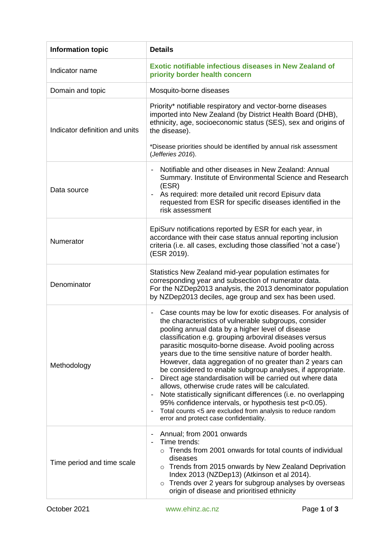| <b>Information topic</b>       | <b>Details</b>                                                                                                                                                                                                                                                                                                                                                                                                                                                                                                                                                                                                                                                                                                                                                                                                                                                         |
|--------------------------------|------------------------------------------------------------------------------------------------------------------------------------------------------------------------------------------------------------------------------------------------------------------------------------------------------------------------------------------------------------------------------------------------------------------------------------------------------------------------------------------------------------------------------------------------------------------------------------------------------------------------------------------------------------------------------------------------------------------------------------------------------------------------------------------------------------------------------------------------------------------------|
| Indicator name                 | <b>Exotic notifiable infectious diseases in New Zealand of</b><br>priority border health concern                                                                                                                                                                                                                                                                                                                                                                                                                                                                                                                                                                                                                                                                                                                                                                       |
| Domain and topic               | Mosquito-borne diseases                                                                                                                                                                                                                                                                                                                                                                                                                                                                                                                                                                                                                                                                                                                                                                                                                                                |
| Indicator definition and units | Priority* notifiable respiratory and vector-borne diseases<br>imported into New Zealand (by District Health Board (DHB),<br>ethnicity, age, socioeconomic status (SES), sex and origins of<br>the disease).                                                                                                                                                                                                                                                                                                                                                                                                                                                                                                                                                                                                                                                            |
|                                | *Disease priorities should be identified by annual risk assessment<br>(Jefferies 2016).                                                                                                                                                                                                                                                                                                                                                                                                                                                                                                                                                                                                                                                                                                                                                                                |
| Data source                    | Notifiable and other diseases in New Zealand: Annual<br>Summary. Institute of Environmental Science and Research<br>(ESR)<br>As required: more detailed unit record Episurv data<br>requested from ESR for specific diseases identified in the<br>risk assessment                                                                                                                                                                                                                                                                                                                                                                                                                                                                                                                                                                                                      |
| Numerator                      | EpiSurv notifications reported by ESR for each year, in<br>accordance with their case status annual reporting inclusion<br>criteria (i.e. all cases, excluding those classified 'not a case')<br>(ESR 2019).                                                                                                                                                                                                                                                                                                                                                                                                                                                                                                                                                                                                                                                           |
| Denominator                    | Statistics New Zealand mid-year population estimates for<br>corresponding year and subsection of numerator data.<br>For the NZDep2013 analysis, the 2013 denominator population<br>by NZDep2013 deciles, age group and sex has been used.                                                                                                                                                                                                                                                                                                                                                                                                                                                                                                                                                                                                                              |
| Methodology                    | Case counts may be low for exotic diseases. For analysis of<br>$\overline{\phantom{a}}$<br>the characteristics of vulnerable subgroups, consider<br>pooling annual data by a higher level of disease<br>classification e.g. grouping arboviral diseases versus<br>parasitic mosquito-borne disease. Avoid pooling across<br>years due to the time sensitive nature of border health.<br>However, data aggregation of no greater than 2 years can<br>be considered to enable subgroup analyses, if appropriate.<br>Direct age standardisation will be carried out where data<br>allows, otherwise crude rates will be calculated.<br>Note statistically significant differences (i.e. no overlapping<br>95% confidence intervals, or hypothesis test p<0.05).<br>Total counts <5 are excluded from analysis to reduce random<br>error and protect case confidentiality. |
| Time period and time scale     | Annual; from 2001 onwards<br>$\overline{\phantom{a}}$<br>Time trends:<br>$\circ$ Trends from 2001 onwards for total counts of individual<br>diseases<br>Trends from 2015 onwards by New Zealand Deprivation<br>$\circ$<br>Index 2013 (NZDep13) (Atkinson et al 2014).<br>Trends over 2 years for subgroup analyses by overseas<br>$\circ$<br>origin of disease and prioritised ethnicity                                                                                                                                                                                                                                                                                                                                                                                                                                                                               |